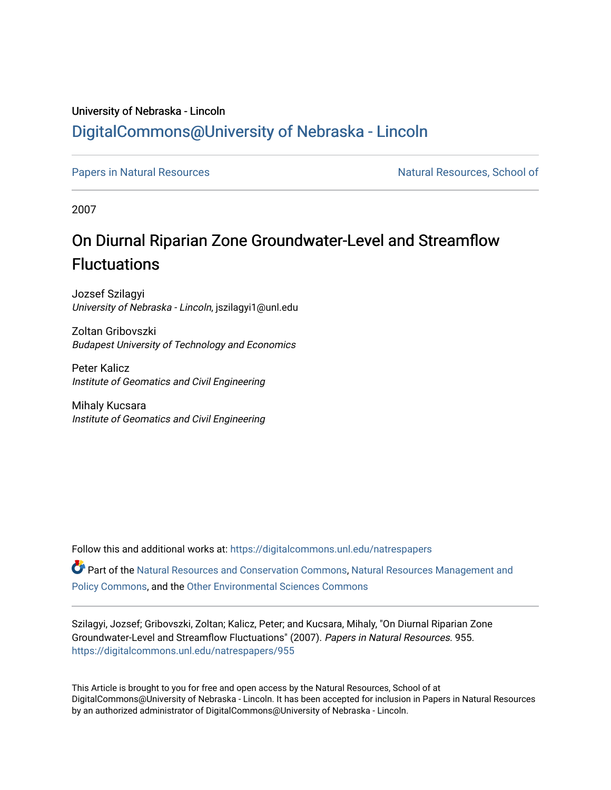## University of Nebraska - Lincoln [DigitalCommons@University of Nebraska - Lincoln](https://digitalcommons.unl.edu/)

[Papers in Natural Resources](https://digitalcommons.unl.edu/natrespapers) Natural Resources Natural Resources, School of

2007

## On Diurnal Riparian Zone Groundwater-Level and Streamflow **Fluctuations**

Jozsef Szilagyi University of Nebraska - Lincoln, jszilagyi1@unl.edu

Zoltan Gribovszki Budapest University of Technology and Economics

Peter Kalicz Institute of Geomatics and Civil Engineering

Mihaly Kucsara Institute of Geomatics and Civil Engineering

Follow this and additional works at: [https://digitalcommons.unl.edu/natrespapers](https://digitalcommons.unl.edu/natrespapers?utm_source=digitalcommons.unl.edu%2Fnatrespapers%2F955&utm_medium=PDF&utm_campaign=PDFCoverPages)

Part of the [Natural Resources and Conservation Commons,](http://network.bepress.com/hgg/discipline/168?utm_source=digitalcommons.unl.edu%2Fnatrespapers%2F955&utm_medium=PDF&utm_campaign=PDFCoverPages) [Natural Resources Management and](http://network.bepress.com/hgg/discipline/170?utm_source=digitalcommons.unl.edu%2Fnatrespapers%2F955&utm_medium=PDF&utm_campaign=PDFCoverPages) [Policy Commons](http://network.bepress.com/hgg/discipline/170?utm_source=digitalcommons.unl.edu%2Fnatrespapers%2F955&utm_medium=PDF&utm_campaign=PDFCoverPages), and the [Other Environmental Sciences Commons](http://network.bepress.com/hgg/discipline/173?utm_source=digitalcommons.unl.edu%2Fnatrespapers%2F955&utm_medium=PDF&utm_campaign=PDFCoverPages)

Szilagyi, Jozsef; Gribovszki, Zoltan; Kalicz, Peter; and Kucsara, Mihaly, "On Diurnal Riparian Zone Groundwater-Level and Streamflow Fluctuations" (2007). Papers in Natural Resources. 955. [https://digitalcommons.unl.edu/natrespapers/955](https://digitalcommons.unl.edu/natrespapers/955?utm_source=digitalcommons.unl.edu%2Fnatrespapers%2F955&utm_medium=PDF&utm_campaign=PDFCoverPages)

This Article is brought to you for free and open access by the Natural Resources, School of at DigitalCommons@University of Nebraska - Lincoln. It has been accepted for inclusion in Papers in Natural Resources by an authorized administrator of DigitalCommons@University of Nebraska - Lincoln.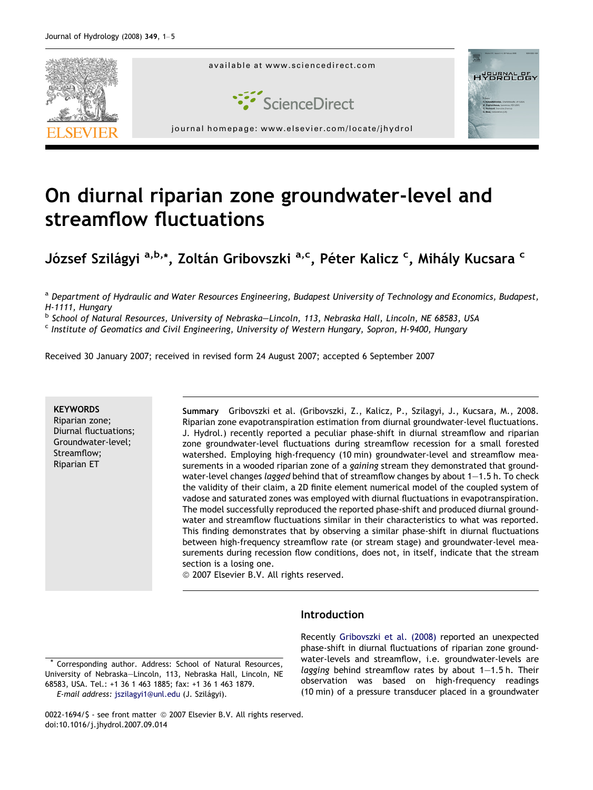

# On diurnal riparian zone groundwater-level and streamflow fluctuations

József Szilágyi <sup>a,b,</sup>\*, Zoltán Gribovszki <sup>a,c</sup>, Péter Kalicz <sup>c</sup>, Mihály Kucsara <sup>c</sup>

a Department of Hydraulic and Water Resources Engineering, Budapest University of Technology and Economics, Budapest, H-1111, Hungary

<sup>b</sup> School of Natural Resources, University of Nebraska–Lincoln, 113, Nebraska Hall, Lincoln, NE 68583, USA

<sup>c</sup> Institute of Geomatics and Civil Engineering, University of Western Hungary, Sopron, H-9400, Hungary

Received 30 January 2007; received in revised form 24 August 2007; accepted 6 September 2007

## **KEYWORDS**

Riparian zone; Diurnal fluctuations; Groundwater-level; Streamflow; Riparian ET

Summary Gribovszki et al. (Gribovszki, Z., Kalicz, P., Szilagyi, J., Kucsara, M., 2008. Riparian zone evapotranspiration estimation from diurnal groundwater-level fluctuations. J. Hydrol.) recently reported a peculiar phase-shift in diurnal streamflow and riparian zone groundwater-level fluctuations during streamflow recession for a small forested watershed. Employing high-frequency (10 min) groundwater-level and streamflow measurements in a wooded riparian zone of a gaining stream they demonstrated that groundwater-level changes lagged behind that of streamflow changes by about  $1-1.5$  h. To check the validity of their claim, a 2D finite element numerical model of the coupled system of vadose and saturated zones was employed with diurnal fluctuations in evapotranspiration. The model successfully reproduced the reported phase-shift and produced diurnal groundwater and streamflow fluctuations similar in their characteristics to what was reported. This finding demonstrates that by observing a similar phase-shift in diurnal fluctuations between high-frequency streamflow rate (or stream stage) and groundwater-level measurements during recession flow conditions, does not, in itself, indicate that the stream section is a losing one.

 $@$  2007 Elsevier B.V. All rights reserved.

### **Introduction**

Corresponding author. Address: School of Natural Resources, University of Nebraska–Lincoln, 113, Nebraska Hall, Lincoln, NE 68583, USA. Tel.: +1 36 1 463 1885; fax: +1 36 1 463 1879.

E-mail address: [jszilagyi1@unl.edu](mailto:jszilagyi1@unl.edu) (J. Szilágyi).

Recently [Gribovszki et al. \(2008\)](#page-5-0) reported an unexpected phase-shift in diurnal fluctuations of riparian zone groundwater-levels and streamflow, i.e. groundwater-levels are lagging behind streamflow rates by about  $1-1.5$  h. Their observation was based on high-frequency readings (10 min) of a pressure transducer placed in a groundwater

0022-1694/\$ - see front matter © 2007 Elsevier B.V. All rights reserved. doi:10.1016/j.jhydrol.2007.09.014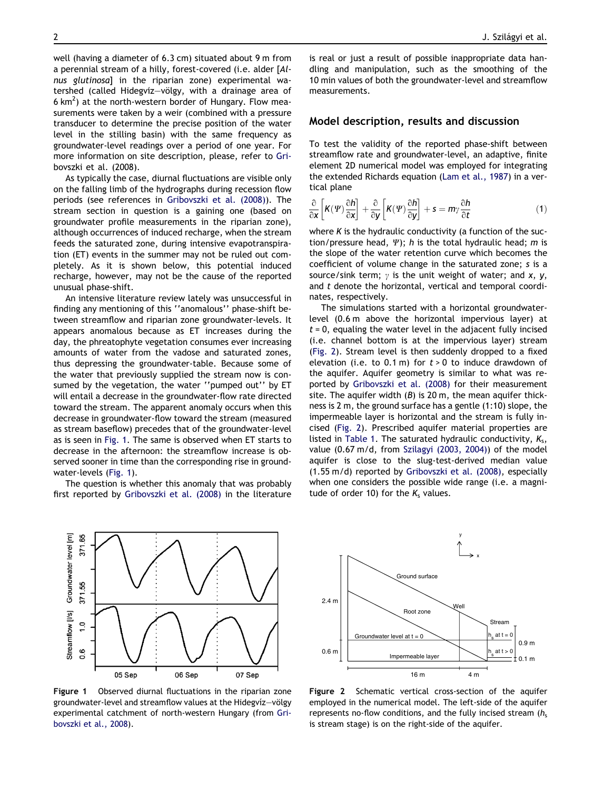<span id="page-2-0"></span>well (having a diameter of 6.3 cm) situated about 9 m from a perennial stream of a hilly, forest-covered (i.e. alder [Alnus glutinosa] in the riparian zone) experimental watershed (called Hidegvíz-völgy, with a drainage area of 6 km<sup>2</sup>) at the north-western border of Hungary. Flow measurements were taken by a weir (combined with a pressure transducer to determine the precise position of the water level in the stilling basin) with the same frequency as groundwater-level readings over a period of one year. For more information on site description, please, refer to [Gri](#page-5-0)[bovszki et al. \(2008\).](#page-5-0)

As typically the case, diurnal fluctuations are visible only on the falling limb of the hydrographs during recession flow periods (see references in [Gribovszki et al. \(2008\)\)](#page-5-0). The stream section in question is a gaining one (based on groundwater profile measurements in the riparian zone), although occurrences of induced recharge, when the stream feeds the saturated zone, during intensive evapotranspiration (ET) events in the summer may not be ruled out completely. As it is shown below, this potential induced recharge, however, may not be the cause of the reported unusual phase-shift.

An intensive literature review lately was unsuccessful in finding any mentioning of this ''anomalous'' phase-shift between streamflow and riparian zone groundwater-levels. It appears anomalous because as ET increases during the day, the phreatophyte vegetation consumes ever increasing amounts of water from the vadose and saturated zones, thus depressing the groundwater-table. Because some of the water that previously supplied the stream now is consumed by the vegetation, the water ''pumped out'' by ET will entail a decrease in the groundwater-flow rate directed toward the stream. The apparent anomaly occurs when this decrease in groundwater-flow toward the stream (measured as stream baseflow) precedes that of the groundwater-level as is seen in Fig. 1. The same is observed when ET starts to decrease in the afternoon: the streamflow increase is observed sooner in time than the corresponding rise in groundwater-levels (Fig. 1).

The question is whether this anomaly that was probably first reported by [Gribovszki et al. \(2008\)](#page-5-0) in the literature

371.65

 $\ddot{0}$ 

8.0

05 Sep

Streamflow [i/s] Groundwater level [m] 371.55

Figure 1 Observed diurnal fluctuations in the riparian zone groundwater-level and streamflow values at the Hidegviz–völgy experimental catchment of north-western Hungary (from [Gri](#page-5-0)[bovszki et al., 2008](#page-5-0)).

06 Sep

07 Sep

is real or just a result of possible inappropriate data handling and manipulation, such as the smoothing of the 10 min values of both the groundwater-level and streamflow measurements.

### Model description, results and discussion

To test the validity of the reported phase-shift between streamflow rate and groundwater-level, an adaptive, finite element 2D numerical model was employed for integrating the extended Richards equation ([Lam et al., 1987](#page-5-0)) in a vertical plane

$$
\frac{\partial}{\partial x}\left[K(\Psi)\frac{\partial h}{\partial x}\right] + \frac{\partial}{\partial y}\left[K(\Psi)\frac{\partial h}{\partial y}\right] + s = m\gamma \frac{\partial h}{\partial t} \tag{1}
$$

where K is the hydraulic conductivity (a function of the suction/pressure head,  $\Psi$ ); h is the total hydraulic head; m is the slope of the water retention curve which becomes the coefficient of volume change in the saturated zone; s is a source/sink term;  $\gamma$  is the unit weight of water; and x, y, and t denote the horizontal, vertical and temporal coordinates, respectively.

The simulations started with a horizontal groundwaterlevel (0.6 m above the horizontal impervious layer) at  $t = 0$ , equaling the water level in the adjacent fully incised (i.e. channel bottom is at the impervious layer) stream (Fig. 2). Stream level is then suddenly dropped to a fixed elevation (i.e. to 0.1 m) for  $t > 0$  to induce drawdown of the aquifer. Aquifer geometry is similar to what was reported by [Gribovszki et al. \(2008\)](#page-5-0) for their measurement site. The aquifer width  $(B)$  is 20 m, the mean aquifer thickness is 2 m, the ground surface has a gentle (1:10) slope, the impermeable layer is horizontal and the stream is fully incised (Fig. 2). Prescribed aquifer material properties are listed in [Table 1.](#page-3-0) The saturated hydraulic conductivity,  $K_s$ , value (0.67 m/d, from [Szilagyi \(2003, 2004\)\)](#page-5-0) of the model aquifer is close to the slug-test-derived median value (1.55 m/d) reported by [Gribovszki et al. \(2008\),](#page-5-0) especially when one considers the possible wide range (i.e. a magnitude of order 10) for the  $K_s$  values.



Figure 2 Schematic vertical cross-section of the aquifer employed in the numerical model. The left-side of the aquifer represents no-flow conditions, and the fully incised stream  $(h_s)$ is stream stage) is on the right-side of the aquifer.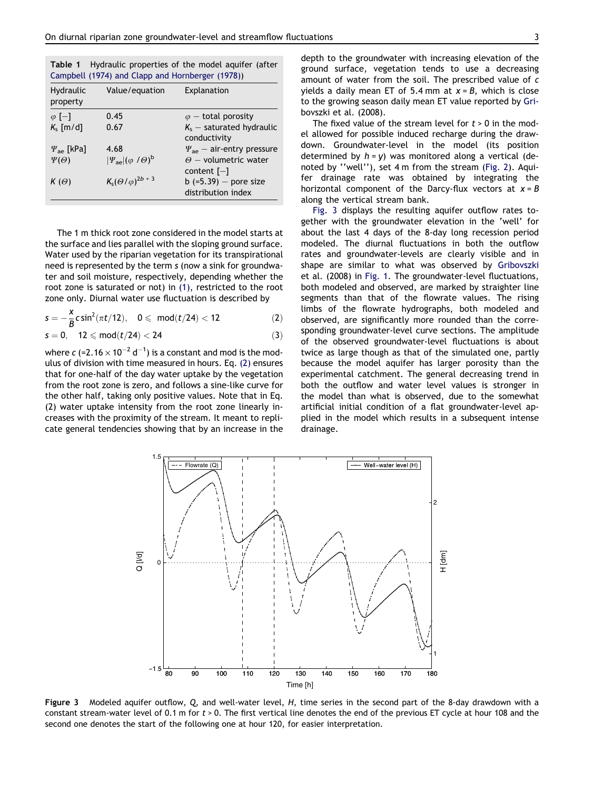<span id="page-3-0"></span>

| <b>Table 1</b> Hydraulic properties of the model aguifer (after |
|-----------------------------------------------------------------|
| Campbell (1974) and Clapp and Hornberger (1978))                |

| Hydraulic<br>property    | Value/equation                                  | Explanation                                   |
|--------------------------|-------------------------------------------------|-----------------------------------------------|
| $\varphi$ [-]            | 0.45                                            | $\varphi$ – total porosity                    |
| $K_s$ [m/d]              | 0.67                                            | $K_s$ – saturated hydraulic<br>conductivity   |
| $\Psi_{\text{ae}}$ [kPa] | 4.68                                            | $\Psi_{\text{ae}}$ – air-entry pressure       |
| $\Psi(\Theta)$           | $ \Psi_{\text{ae}} (\varphi/\theta)^{\text{b}}$ | $\Theta$ – volumetric water<br>content $[-]$  |
| $K(\Theta)$              | $K_s(\Theta/\varphi)^{2b+3}$                    | b $(=5.39)$ - pore size<br>distribution index |

The 1 m thick root zone considered in the model starts at the surface and lies parallel with the sloping ground surface. Water used by the riparian vegetation for its transpirational need is represented by the term s (now a sink for groundwater and soil moisture, respectively, depending whether the root zone is saturated or not) in [\(1\),](#page-2-0) restricted to the root zone only. Diurnal water use fluctuation is described by

$$
s=-\frac{x}{B}c\,sin^2(\pi t/12),\quad 0\leqslant\ mod(t/24)<12\qquad \qquad (2)
$$

$$
s = 0, \quad 12 \leq mod(t/24) < 24
$$
 (3)

where  $c$  (=2.16  $\times$  10 $^{-2}$  d $^{-1})$  is a constant and mod is the modulus of division with time measured in hours. Eq. (2) ensures that for one-half of the day water uptake by the vegetation from the root zone is zero, and follows a sine-like curve for the other half, taking only positive values. Note that in Eq. (2) water uptake intensity from the root zone linearly increases with the proximity of the stream. It meant to replicate general tendencies showing that by an increase in the depth to the groundwater with increasing elevation of the ground surface, vegetation tends to use a decreasing amount of water from the soil. The prescribed value of c yields a daily mean ET of 5.4 mm at  $x = B$ , which is close to the growing season daily mean ET value reported by [Gri](#page-5-0)[bovszki et al. \(2008\).](#page-5-0)

The fixed value of the stream level for  $t > 0$  in the model allowed for possible induced recharge during the drawdown. Groundwater-level in the model (its position determined by  $h = y$ ) was monitored along a vertical (denoted by ''well''), set 4 m from the stream ([Fig. 2\)](#page-2-0). Aquifer drainage rate was obtained by integrating the horizontal component of the Darcy-flux vectors at  $x = B$ along the vertical stream bank.

Fig. 3 displays the resulting aquifer outflow rates together with the groundwater elevation in the 'well' for about the last 4 days of the 8-day long recession period modeled. The diurnal fluctuations in both the outflow rates and groundwater-levels are clearly visible and in shape are similar to what was observed by [Gribovszki](#page-5-0) [et al. \(2008\)](#page-5-0) in [Fig. 1.](#page-2-0) The groundwater-level fluctuations, both modeled and observed, are marked by straighter line segments than that of the flowrate values. The rising limbs of the flowrate hydrographs, both modeled and observed, are significantly more rounded than the corresponding groundwater-level curve sections. The amplitude of the observed groundwater-level fluctuations is about twice as large though as that of the simulated one, partly because the model aquifer has larger porosity than the experimental catchment. The general decreasing trend in both the outflow and water level values is stronger in the model than what is observed, due to the somewhat artificial initial condition of a flat groundwater-level applied in the model which results in a subsequent intense drainage.



Figure 3 Modeled aquifer outflow, Q, and well-water level, H, time series in the second part of the 8-day drawdown with a constant stream-water level of 0.1 m for  $t > 0$ . The first vertical line denotes the end of the previous ET cycle at hour 108 and the second one denotes the start of the following one at hour 120, for easier interpretation.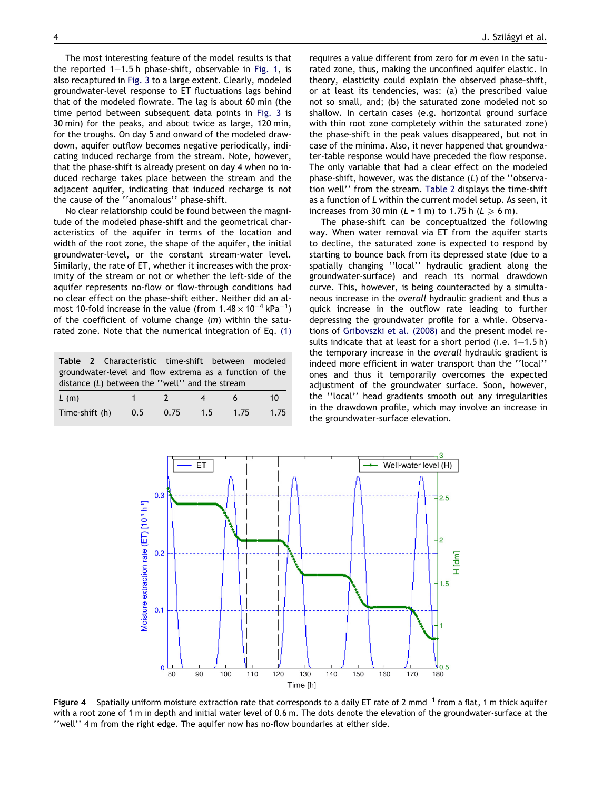<span id="page-4-0"></span>The most interesting feature of the model results is that the reported  $1-1.5$  h phase-shift, observable in [Fig. 1](#page-2-0), is also recaptured in [Fig. 3](#page-3-0) to a large extent. Clearly, modeled groundwater-level response to ET fluctuations lags behind that of the modeled flowrate. The lag is about 60 min (the time period between subsequent data points in [Fig. 3](#page-3-0) is 30 min) for the peaks, and about twice as large, 120 min, for the troughs. On day 5 and onward of the modeled drawdown, aquifer outflow becomes negative periodically, indicating induced recharge from the stream. Note, however, that the phase-shift is already present on day 4 when no induced recharge takes place between the stream and the adjacent aquifer, indicating that induced recharge is not the cause of the ''anomalous'' phase-shift.

No clear relationship could be found between the magnitude of the modeled phase-shift and the geometrical characteristics of the aquifer in terms of the location and width of the root zone, the shape of the aquifer, the initial groundwater-level, or the constant stream-water level. Similarly, the rate of ET, whether it increases with the proximity of the stream or not or whether the left-side of the aquifer represents no-flow or flow-through conditions had no clear effect on the phase-shift either. Neither did an almost 10-fold increase in the value (from 1.48  $\times$  10 $^{-4}$  kPa $^{-1})$ of the coefficient of volume change  $(m)$  within the saturated zone. Note that the numerical integration of Eq. [\(1\)](#page-2-0)

|                                                         |  | Table 2 Characteristic time-shift between modeled |                          |      |   |    |  |
|---------------------------------------------------------|--|---------------------------------------------------|--------------------------|------|---|----|--|
| groundwater-level and flow extrema as a function of the |  |                                                   |                          |      |   |    |  |
| distance $(L)$ between the "well" and the stream        |  |                                                   |                          |      |   |    |  |
| L(m)                                                    |  | $\mathbf 1$                                       | $\overline{\phantom{a}}$ | $-4$ | 6 | 10 |  |

| $L$ (III)                             |  | ∸ | $\mathbf{u}$ |  |
|---------------------------------------|--|---|--------------|--|
| Time-shift (h) 0.5 0.75 1.5 1.75 1.75 |  |   |              |  |
|                                       |  |   |              |  |

requires a value different from zero for m even in the saturated zone, thus, making the unconfined aquifer elastic. In theory, elasticity could explain the observed phase-shift, or at least its tendencies, was: (a) the prescribed value not so small, and; (b) the saturated zone modeled not so shallow. In certain cases (e.g. horizontal ground surface with thin root zone completely within the saturated zone) the phase-shift in the peak values disappeared, but not in case of the minima. Also, it never happened that groundwater-table response would have preceded the flow response. The only variable that had a clear effect on the modeled phase-shift, however, was the distance (L) of the ''observation well'' from the stream. Table 2 displays the time-shift as a function of L within the current model setup. As seen, it increases from 30 min ( $L = 1$  m) to 1.75 h ( $L \ge 6$  m).

The phase-shift can be conceptualized the following way. When water removal via ET from the aquifer starts to decline, the saturated zone is expected to respond by starting to bounce back from its depressed state (due to a spatially changing ''local'' hydraulic gradient along the groundwater-surface) and reach its normal drawdown curve. This, however, is being counteracted by a simultaneous increase in the overall hydraulic gradient and thus a quick increase in the outflow rate leading to further depressing the groundwater profile for a while. Observations of [Gribovszki et al. \(2008\)](#page-5-0) and the present model results indicate that at least for a short period (i.e.  $1-1.5$  h) the temporary increase in the overall hydraulic gradient is indeed more efficient in water transport than the ''local'' ones and thus it temporarily overcomes the expected adjustment of the groundwater surface. Soon, however, the ''local'' head gradients smooth out any irregularities in the drawdown profile, which may involve an increase in the groundwater-surface elevation.



Figure 4 Spatially uniform moisture extraction rate that corresponds to a daily ET rate of 2 mmd<sup>-1</sup> from a flat, 1 m thick aquifer with a root zone of 1 m in depth and initial water level of 0.6 m. The dots denote the elevation of the groundwater-surface at the ''well'' 4 m from the right edge. The aquifer now has no-flow boundaries at either side.